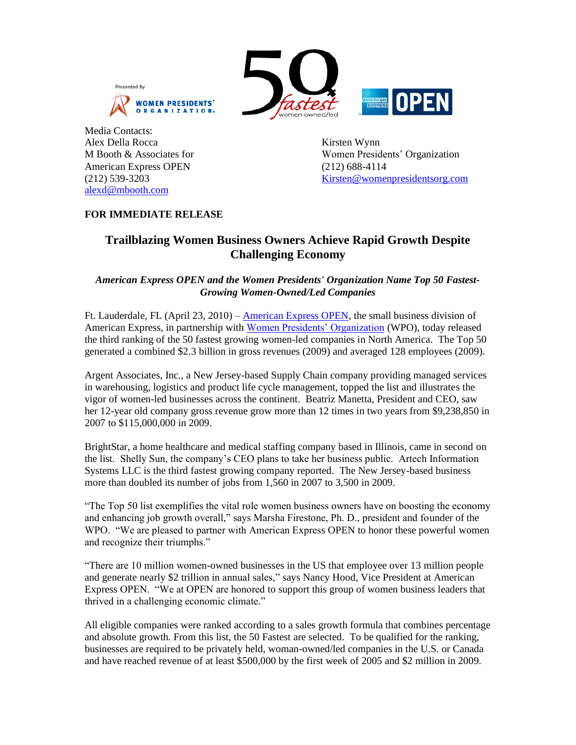





Media Contacts: Alex Della Rocca Kirsten Wynn American Express OPEN (212) 688-4114 [alexd@mbooth.com](mailto:alexd@mbooth.com)

M Booth & Associates for Women Presidents' Organization (212) 539-3203 [Kirsten@womenpresidentsorg.com](mailto:Kirsten@womenpresidentsorg.com)

# **FOR IMMEDIATE RELEASE**

# **Trailblazing Women Business Owners Achieve Rapid Growth Despite Challenging Economy**

# *American Express OPEN and the Women Presidents' Organization Name Top 50 Fastest-Growing Women-Owned/Led Companies*

Ft. Lauderdale, FL (April 23, 2010) – [American Express OPEN,](https://www152.americanexpress.com/home/smallbusiness.do?isFlash=true) the small business division of American Express, in partnership with [Women Presidents' Organization](http://www.womenpresidentsorg.com/index.htm) (WPO), today released the third ranking of the 50 fastest growing women-led companies in North America. The Top 50 generated a combined \$2.3 billion in gross revenues (2009) and averaged 128 employees (2009).

Argent Associates, Inc., a New Jersey-based Supply Chain company providing managed services in warehousing, logistics and product life cycle management, topped the list and illustrates the vigor of women-led businesses across the continent. Beatriz Manetta, President and CEO, saw her 12-year old company gross revenue grow more than 12 times in two years from \$9,238,850 in 2007 to \$115,000,000 in 2009.

BrightStar, a home healthcare and medical staffing company based in Illinois, came in second on the list. Shelly Sun, the company's CEO plans to take her business public. Artech Information Systems LLC is the third fastest growing company reported. The New Jersey-based business more than doubled its number of jobs from 1,560 in 2007 to 3,500 in 2009.

"The Top 50 list exemplifies the vital role women business owners have on boosting the economy and enhancing job growth overall," says Marsha Firestone, Ph. D., president and founder of the WPO. "We are pleased to partner with American Express OPEN to honor these powerful women and recognize their triumphs."

"There are 10 million women-owned businesses in the US that employee over 13 million people and generate nearly \$2 trillion in annual sales," says Nancy Hood, Vice President at American Express OPEN. "We at OPEN are honored to support this group of women business leaders that thrived in a challenging economic climate."

All eligible companies were ranked according to a sales growth formula that combines percentage and absolute growth. From this list, the 50 Fastest are selected. To be qualified for the ranking, businesses are required to be privately held, woman-owned/led companies in the U.S. or Canada and have reached revenue of at least \$500,000 by the first week of 2005 and \$2 million in 2009.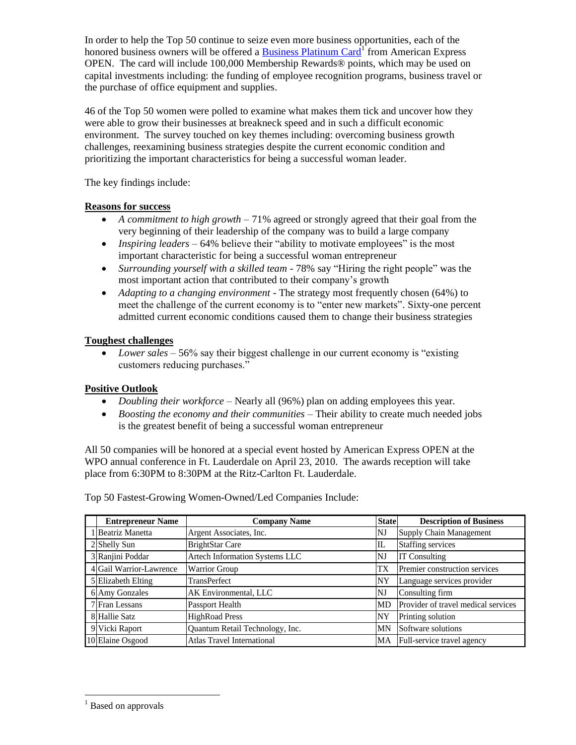In order to help the Top 50 continue to seize even more business opportunities, each of the honored business owners will be offered a **Business Platinum Card**<sup>1</sup> from American Express OPEN. The card will include 100,000 Membership Rewards® points, which may be used on capital investments including: the funding of employee recognition programs, business travel or the purchase of office equipment and supplies.

46 of the Top 50 women were polled to examine what makes them tick and uncover how they were able to grow their businesses at breakneck speed and in such a difficult economic environment. The survey touched on key themes including: overcoming business growth challenges, reexamining business strategies despite the current economic condition and prioritizing the important characteristics for being a successful woman leader.

The key findings include:

## **Reasons for success**

- *A commitment to high growth* 71% agreed or strongly agreed that their goal from the very beginning of their leadership of the company was to build a large company
- *Inspiring leaders* 64% believe their "ability to motivate employees" is the most important characteristic for being a successful woman entrepreneur
- *Surrounding yourself with a skilled team* 78% say "Hiring the right people" was the most important action that contributed to their company's growth
- *Adapting to a changing environment* The strategy most frequently chosen (64%) to meet the challenge of the current economy is to "enter new markets". Sixty-one percent admitted current economic conditions caused them to change their business strategies

## **Toughest challenges**

• *Lower sales* – 56% say their biggest challenge in our current economy is "existing" customers reducing purchases."

#### **Positive Outlook**

- *Doubling their workforce* Nearly all (96%) plan on adding employees this year.
- *Boosting the economy and their communities* Their ability to create much needed jobs is the greatest benefit of being a successful woman entrepreneur

All 50 companies will be honored at a special event hosted by American Express OPEN at the WPO annual conference in Ft. Lauderdale on April 23, 2010. The awards reception will take place from 6:30PM to 8:30PM at the Ritz-Carlton Ft. Lauderdale.

| <b>Entrepreneur Name</b> | <b>Company Name</b>               | <b>State</b> | <b>Description of Business</b>      |
|--------------------------|-----------------------------------|--------------|-------------------------------------|
| 1 Beatriz Manetta        | Argent Associates, Inc.           | NJ           | Supply Chain Management             |
| 2 Shelly Sun             | <b>BrightStar Care</b>            | IL           | <b>Staffing services</b>            |
| 3 Ranjini Poddar         | Artech Information Systems LLC    | NJ           | <b>IT Consulting</b>                |
| 4 Gail Warrior-Lawrence  | <b>Warrior Group</b>              | TX           | Premier construction services       |
| 5 Elizabeth Elting       | TransPerfect                      | NY           | Language services provider          |
| 6 Amy Gonzales           | AK Environmental, LLC             | NJ           | Consulting firm                     |
| 7 Fran Lessans           | Passport Health                   | <b>MD</b>    | Provider of travel medical services |
| 8 Hallie Satz            | <b>HighRoad Press</b>             | NY           | Printing solution                   |
| 9 Vicki Raport           | Quantum Retail Technology, Inc.   | MN           | Software solutions                  |
| 10 Elaine Osgood         | <b>Atlas Travel International</b> | МA           | Full-service travel agency          |

Top 50 Fastest-Growing Women-Owned/Led Companies Include:

 $\overline{a}$ 

<sup>&</sup>lt;sup>1</sup> Based on approvals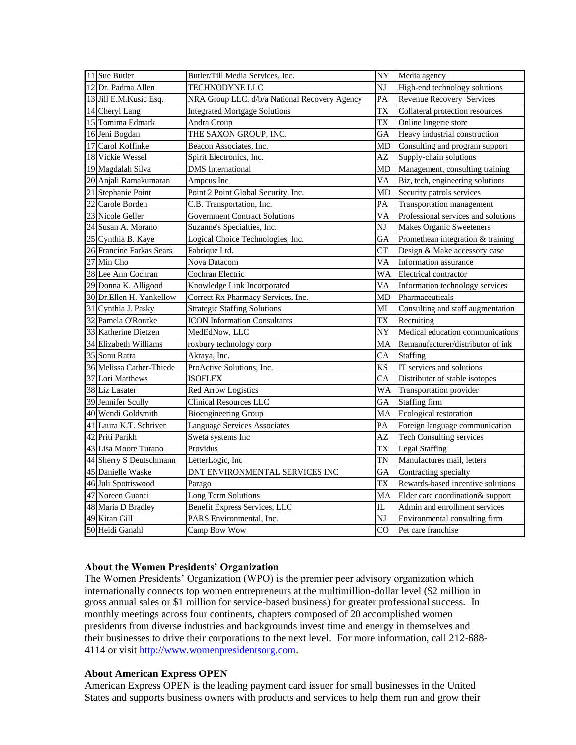|    | $11$ Sue Butler          | Butler/Till Media Services, Inc.              | $\overline{NY}$         | Media agency                        |
|----|--------------------------|-----------------------------------------------|-------------------------|-------------------------------------|
|    | 12 Dr. Padma Allen       | <b>TECHNODYNE LLC</b>                         | NJ                      | High-end technology solutions       |
|    | 13 Jill E.M. Kusic Esq.  | NRA Group LLC. d/b/a National Recovery Agency | PA                      | Revenue Recovery Services           |
|    | 14 Cheryl Lang           | <b>Integrated Mortgage Solutions</b>          | <b>TX</b>               | Collateral protection resources     |
|    | 15 Tomima Edmark         | Andra Group                                   | <b>TX</b>               | Online lingerie store               |
|    | 16 Jeni Bogdan           | THE SAXON GROUP, INC.                         | GA                      | Heavy industrial construction       |
| 17 | Carol Koffinke           | Beacon Associates, Inc.                       | MD                      | Consulting and program support      |
| 18 | <b>Vickie Wessel</b>     | Spirit Electronics, Inc.                      | AZ                      | Supply-chain solutions              |
|    | 19 Magdalah Silva        | <b>DMS</b> International                      | MD                      | Management, consulting training     |
|    | 20 Anjali Ramakumaran    | Ampcus Inc                                    | VA                      | Biz, tech, engineering solutions    |
|    | 21 Stephanie Point       | Point 2 Point Global Security, Inc.           | MD                      | Security patrols services           |
| 22 | Carole Borden            | C.B. Transportation, Inc.                     | PA                      | <b>Transportation management</b>    |
|    | 23 Nicole Geller         | <b>Government Contract Solutions</b>          | <b>VA</b>               | Professional services and solutions |
| 24 | Susan A. Morano          | Suzanne's Specialties, Inc.                   | NJ                      | <b>Makes Organic Sweeteners</b>     |
| 25 | Cynthia B. Kaye          | Logical Choice Technologies, Inc.             | GA                      | Promethean integration & training   |
|    | 26 Francine Farkas Sears | Fabrique Ltd.                                 | <b>CT</b>               | Design & Make accessory case        |
|    | 27 Min Cho               | Nova Datacom                                  | <b>VA</b>               | Information assurance               |
|    | 28 Lee Ann Cochran       | Cochran Electric                              | WA                      | Electrical contractor               |
|    | 29 Donna K. Alligood     | Knowledge Link Incorporated                   | VA                      | Information technology services     |
|    | 30 Dr.Ellen H. Yankellow | Correct Rx Pharmacy Services, Inc.            | <b>MD</b>               | Pharmaceuticals                     |
| 31 | Cynthia J. Pasky         | <b>Strategic Staffing Solutions</b>           | MI                      | Consulting and staff augmentation   |
| 32 | Pamela O'Rourke          | <b>ICON</b> Information Consultants           | <b>TX</b>               | Recruiting                          |
|    | 33 Katherine Dietzen     | MedEdNow, LLC                                 | NY                      | Medical education communications    |
|    | 34 Elizabeth Williams    | roxbury technology corp                       | MA                      | Remanufacturer/distributor of ink   |
|    | 35 Sonu Ratra            | Akraya, Inc.                                  | CA                      | <b>Staffing</b>                     |
|    | 36 Melissa Cather-Thiede | ProActive Solutions, Inc.                     | KS                      | IT services and solutions           |
|    | 37 Lori Matthews         | <b>ISOFLEX</b>                                | CA                      | Distributor of stable isotopes      |
|    | 38 Liz Lasater           | Red Arrow Logistics                           | <b>WA</b>               | Transportation provider             |
|    | 39 Jennifer Scully       | <b>Clinical Resources LLC</b>                 | GA                      | Staffing firm                       |
|    | 40 Wendi Goldsmith       | <b>Bioengineering Group</b>                   | MA                      | Ecological restoration              |
|    | 41 Laura K.T. Schriver   | <b>Language Services Associates</b>           | PA                      | Foreign language communication      |
|    | 42 Priti Parikh          | Sweta systems Inc                             | AZ                      | <b>Tech Consulting services</b>     |
|    | 43 Lisa Moore Turano     | Providus                                      | TX                      | <b>Legal Staffing</b>               |
|    | 44 Sherry S Deutschmann  | LetterLogic, Inc                              | <b>TN</b>               | Manufactures mail, letters          |
|    | 45 Danielle Waske        | DNT ENVIRONMENTAL SERVICES INC                | GА                      | Contracting specialty               |
|    | 46 Juli Spottiswood      | Parago                                        | TX                      | Rewards-based incentive solutions   |
| 47 | Noreen Guanci            | Long Term Solutions                           | MA                      | Elder care coordination& support    |
|    | 48 Maria D Bradley       | Benefit Express Services, LLC                 | $\overline{\mathbb{L}}$ | Admin and enrollment services       |
|    | 49 Kiran Gill            | PARS Environmental, Inc.                      | NJ                      | Environmental consulting firm       |
|    | 50 Heidi Ganahl          | Camp Bow Wow                                  | CO                      | Pet care franchise                  |

#### **About the Women Presidents' Organization**

The Women Presidents' Organization (WPO) is the premier peer advisory organization which internationally connects top women entrepreneurs at the multimillion-dollar level (\$2 million in gross annual sales or \$1 million for service-based business) for greater professional success. In monthly meetings across four continents, chapters composed of 20 accomplished women presidents from diverse industries and backgrounds invest time and energy in themselves and their businesses to drive their corporations to the next level. For more information, call 212-688- 4114 or visit [http://www.womenpresidentsorg.com.](http://www.womenpresidentsorg.com/)

#### **About American Express OPEN**

American Express OPEN is the leading payment card issuer for small businesses in the United States and supports business owners with products and services to help them run and grow their